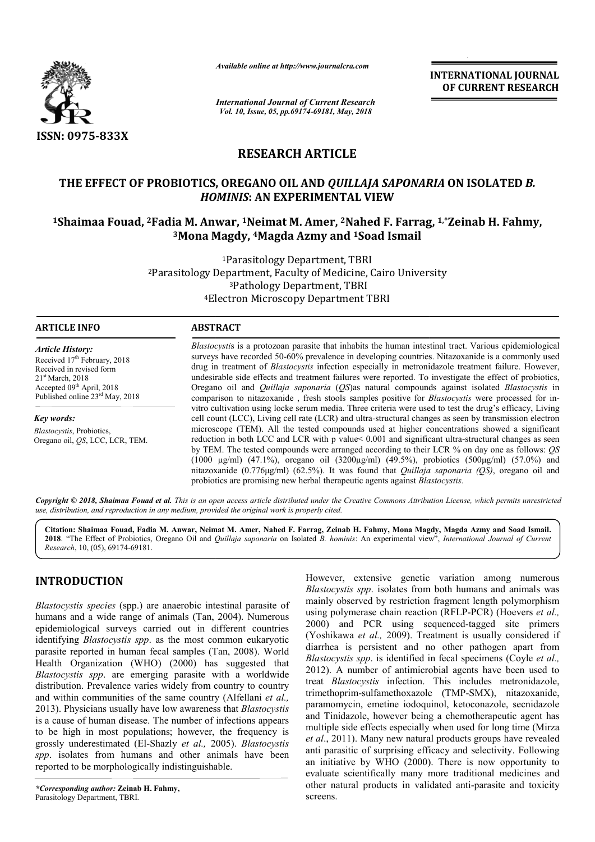

*Available online at http://www.journalcra.com*

*International Journal of Current Research Vol. 10, Issue, 05, pp.69174-69181, May, 2018*

**INTERNATIONAL JOURNAL OF CURRENT RESEARCH**

# **RESEARCH ARTICLE**

# **THE EFFECT OF PROBIOTICS, OREGANO OIL AND**  *QUILLAJA SAPONARIA*  **ON ISOLATED** *B. HOMINIS* **: AN EXPERIMENTAL VIEW**

# <sup>1</sup>Shaimaa Fouad, <sup>2</sup>Fadia M. Anwar, <sup>1</sup>Neimat M. Amer, <sup>2</sup>Nahed F. Farrag, <sup>1,</sup>\*Zeinab H. Fahmy, **3Mona Magdy, Mona 4Magda Azmy and 1Soad Ismail**

<sup>2</sup>Parasitology Department, Faculty of Medicine, Cairo University 4Electron Microscopy Department TBRI Electron 1Parasitology Department, TBRI 3Pathology Department, TBRI

## **ARTICLE INFO ABSTRACT**

*Article History:* Received 17<sup>th</sup> February, 2018 Received in revised form 21st March, 2018 Accepted 09<sup>th</sup> April, 2018 Published online 23<sup>rd</sup> May, 2018

*Key words: Blastocystis*, Probiotics, Oregano oil, *QS*, LCC, LCR, TEM. *Blastocysti* s is a protozoan parasite that inhabits the human intestinal tract. Various epidemiological surveys have recorded 50 50-60% prevalence in developing countries. Nitazoxanide is a commonly used drug in treatment of *Blastocystis* infection especially in metronida undesirable side effects and treatment failures were reported. To investigate the effect of probiotics, Oregano oil and *Quillaja saponaria* (*QS*)as natural compounds against isolated *Blastocystis* in comparison to nitazoxanide , fresh stools samples positive for *Blastocystis*  were processed for invitro cultivation using locke serum media. Three criteria were used to test the drug's efficacy, Living cell count (LCC), Living cell rate (LCR) and ultra-structural changes as seen by transmission electron microscope (TEM). All the tested compounds used at higher concentrations showed a significant microscope (TEM). All the tested compounds used at higher concentrations showed a significant reduction in both LCC and LCR with p value< 0.001 and significant ultra-structural changes as seen by TEM. The tested compounds were arranged according to their LCR % on day one as follows: *QS* (1000  $\mu$ g/ml) (47.1%), oregano oil (3200 $\mu$ g/ml) (49.5%), probiotics (500 $\mu$ g/ml) (57.0%) and nitazoxanide ( (0.776μg/ml) (62.5%). It was found that *Quillaja saponaria (QS)*, oregano oil and probiotics are promising new herbal therapeutic agents against *Blastocystis.* is a protozoan parasite that inhabits the human intestinal tract. Various epidemiological<br>recorded 50-60% prevalence in developing countries. Nitazoxanide is a commonly used<br>ment of *Blastocystis* infection especially in m

Copyright © 2018, Shaimaa Fouad et al. This is an open access article distributed under the Creative Commons Attribution License, which permits unrestrictea *use, distribution, and reproduction in any medium, provided the original work is properly cited.*

Citation: Shaimaa Fouad, Fadia M. Anwar, Neimat M. Amer, Nahed F. Farrag, Zeinab H. Fahmy, Mona Magdy, Magda Azmy and Soad Ismail. 2018. "The Effect of Probiotics, Oregano Oil and *Quillaja saponaria* on Isolated *B. hominis*: An experimental view", *International Journal of Current Research*, 10, (05), 69174-69181.

# **INTRODUCTION**

*Blastocystis species* (spp.) are anaerobic intestinal parasite of humans and a wide range of animals (Tan, 2004). Numerous epidemiological surveys carried out in different countries identifying *Blastocystis spp*. as the most common eukaryotic parasite reported in human fecal samples (Tan, 2008). World Health Organization (WHO) (2000) has suggested that *Blastocystis spp*. are emerging parasite with a worldwide distribution. Prevalence varies widely from country to country and within communities of the same country (Alfellani et al., 2013). Physicians usually have low awareness that *Blastocystis* is a cause of human disease. The number of infections appears to be high in most populations; however, the frequency is grossly underestimated (El-Shazly *et al.,* 2005). *Blastocystis spp*. isolates from humans and other animals have been reported to be morphologically indistinguishable.

However, extensive genetic variation among numerous *Blastocystis spp*. isolates from both humans and animals was mainly observed by restriction fragment length polymorphism However, extensive genetic variation among numerous *Blastocystis spp*. isolates from both humans and animals was mainly observed by restriction fragment length polymorphism using polymerase chain reaction (RFLP-PCR) (Hoev 2000) and PCR using sequenced-tagged site primers (Yoshikawa *et al.,* 2009). Treatment is usually considered if diarrhea is persistent and no other pathogen apart from *Blastocystis spp.* is identified in fecal specimens (Coyle et al., 2012). A number of antimicrobial agents have been used to 2012). A number of antimicrobial agents have been used to treat *Blastocystis* infection. This includes metronidazole, trimethoprim-sulfamethoxazole (TMP-SMX), nitazoxanide, paramomycin, emetine iodoquinol, ketoconazole, secnidazole and Tinidazole, however being a chemotherapeutic agent has multiple side effects especially when used for long time (Mirza *et al*., 2011). Many new natural products groups have revealed anti parasitic of surprising efficacy and selectivity. Following an initiative by WHO (2000). There is now opportunity to evaluate scientifically many more traditional medicines and other natural products in validated anti screens. 2009). Treatment is usually considered if ent and no other pathogen apart from identified in fecal specimens (Coyle *et al.*, and Tinidazole, however being a chemotherapeutic agent has multiple side effects especially when used for long time (Mirza *et al.*, 2011). Many new natural products groups have revealed anti-parasitic of surprising effica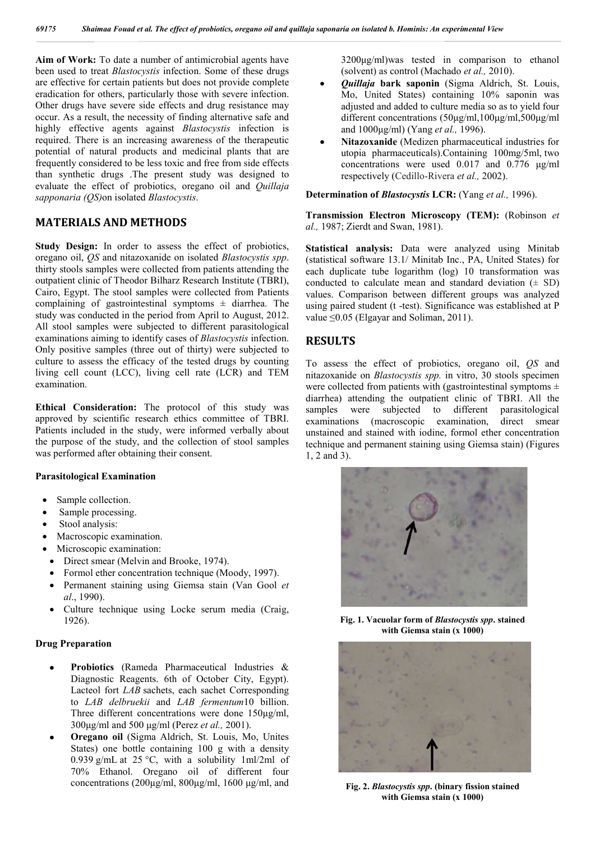**Aim of Work:** To date a number of antimicrobial agents have been used to treat *Blastocystis* infection. Some of these drugs are effective for certain patients but does not provide complete eradication for others, particularly those with severe infection. Other drugs have severe side effects and drug resistance may occur. As a result, the necessity of finding alternative safe and highly effective agents against *Blastocystis* infection is required. There is an increasing awareness of the therapeutic potential of natural products and medicinal plants that are frequently considered to be less toxic and free from side effects than synthetic drugs .The present study was designed to evaluate the effect of probiotics, oregano oil and *Quillaja sapponaria (QS)*on isolated *Blastocystis*.

# **MATERIALS AND METHODS**

**Study Design:** In order to assess the effect of probiotics, oregano oil, *QS* and nitazoxanide on isolated *Blastocystis spp*. thirty stools samples were collected from patients attending the outpatient clinic of Theodor Bilharz Research Institute (TBRI), Cairo, Egypt. The stool samples were collected from Patients complaining of gastrointestinal symptoms  $\pm$  diarrhea. The study was conducted in the period from April to August, 2012. All stool samples were subjected to different parasitological examinations aiming to identify cases of *Blastocystis* infection. Only positive samples (three out of thirty) were subjected to culture to assess the efficacy of the tested drugs by counting living cell count (LCC), living cell rate (LCR) and TEM examination.

**Ethical Consideration:** The protocol of this study was approved by scientific research ethics committee of TBRI. Patients included in the study, were informed verbally about the purpose of the study, and the collection of stool samples was performed after obtaining their consent.

#### **Parasitological Examination**

- Sample collection.
- Sample processing.
- Stool analysis:
- Macroscopic examination.
- Microscopic examination:
	- Direct smear (Melvin and Brooke, 1974).
	- Formol ether concentration technique (Moody, 1997).
	- Permanent staining using Giemsa stain (Van Gool *et al*., 1990).
	- Culture technique using Locke serum media (Craig, 1926).

#### **Drug Preparation**

- **Probiotics** (Rameda Pharmaceutical Industries & Diagnostic Reagents. 6th of October City, Egypt). Lacteol fort *LAB* sachets, each sachet Corresponding to *LAB delbruekii* and *LAB fermentum*10 billion. Three different concentrations were done 150μg/ml, 300μg/ml and 500 μg/ml (Perez *et al.,* 2001).
- **Oregano oil** (Sigma Aldrich, St. Louis, Mo, Unites States) one bottle containing 100 g with a density 0.939 g/mL at 25 °C, with a solubility 1ml/2ml of 70% Ethanol. Oregano oil of different four concentrations (200μg/ml, 800μg/ml, 1600 μg/ml, and

3200μg/ml)was tested in comparison to ethanol (solvent) as control (Machado *et al.,* 2010).

- *Quillaja* **bark saponin** (Sigma Aldrich, St. Louis, Mo, United States) containing 10% saponin was adjusted and added to culture media so as to yield four different concentrations (50μg/ml,100μg/ml,500μg/ml and 1000μg/ml) (Yang *et al.,* 1996).
- **Nitazoxanide** (Medizen pharmaceutical industries for utopia pharmaceuticals).Containing 100mg/5ml, two concentrations were used 0.017 and 0.776 μg/ml respectively (Cedillo-Rivera *et al.,* 2002).

**Determination of** *Blastocystis* **LCR:** (Yang *et al.,* 1996).

**Transmission Electron Microscopy (TEM):** (Robinson *et al.,* 1987; Zierdt and Swan, 1981).

**Statistical analysis:** Data were analyzed using Minitab (statistical software 13.1/ Minitab Inc., PA, United States) for each duplicate tube logarithm (log) 10 transformation was conducted to calculate mean and standard deviation  $(\pm SD)$ values. Comparison between different groups was analyzed using paired student (t -test). Significance was established at P value ≤0.05 (Elgayar and Soliman, 2011).

## **RESULTS**

To assess the effect of probiotics, oregano oil, *QS* and nitazoxanide on *Blastocystis spp.* in vitro, 30 stools specimen were collected from patients with (gastrointestinal symptoms  $\pm$ diarrhea) attending the outpatient clinic of TBRI. All the samples were subjected to different parasitological examinations (macroscopic examination, direct smear unstained and stained with iodine, formol ether concentration technique and permanent staining using Giemsa stain) (Figures 1, 2 and 3).



**Fig. 1. Vacuolar form of** *Blastocystis spp***. stained with Giemsa stain (x 1000)**



**Fig. 2.** *Blastocystis spp***. (binary fission stained with Giemsa stain (x 1000)**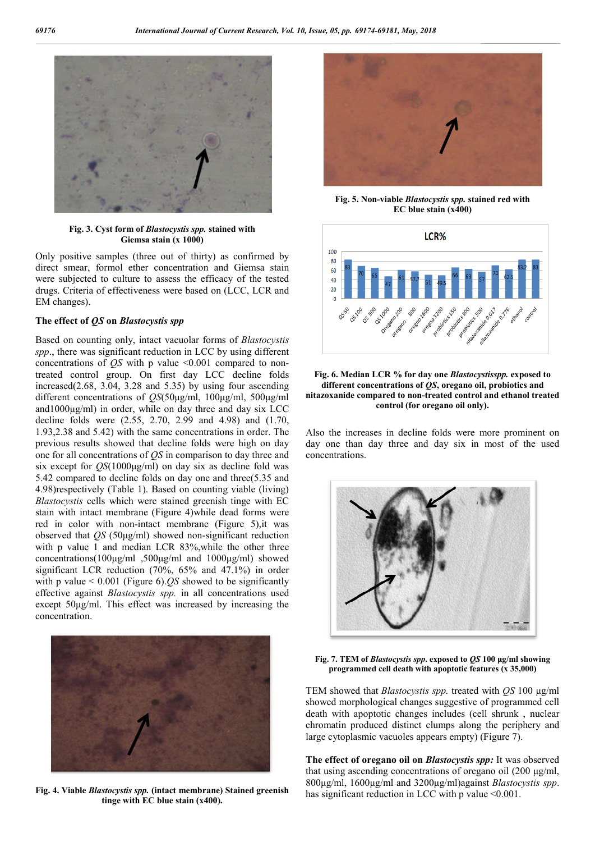

**Fig. 3. Cyst form of** *Blastocystis spp.* **stained with Giemsa stain (x 1000)**

Only positive samples (three out of thirty) as confirmed by direct smear, formol ether concentration and Giemsa stain were subjected to culture to assess the efficacy of the tested drugs. Criteria of effectiveness were based on (LCC, LCR and EM changes).

#### **The effect of** *QS* **on** *Blastocystis spp*

Based on counting only, intact vacuolar forms of *Blastocystis spp*., there was significant reduction in LCC by using different concentrations of *QS* with p value <0.001 compared to nontreated control group. On first day LCC decline folds increased(2.68, 3.04, 3.28 and 5.35) by using four ascending different concentrations of *QS*(50μg/ml, 100μg/ml, 500μg/ml and1000μg/ml) in order, while on day three and day six LCC decline folds were (2.55, 2.70, 2.99 and 4.98) and (1.70, 1.93,2.38 and 5.42) with the same concentrations in order. The previous results showed that decline folds were high on day one for all concentrations of *QS* in comparison to day three and six except for *QS*(1000μg/ml) on day six as decline fold was 5.42 compared to decline folds on day one and three(5.35 and 4.98)respectively (Table 1). Based on counting viable (living) *Blastocystis* cells which were stained greenish tinge with EC stain with intact membrane (Figure 4)while dead forms were red in color with non-intact membrane (Figure 5),it was observed that *QS* (50μg/ml) showed non-significant reduction with p value 1 and median LCR 83%, while the other three concentrations(100μg/ml ,500μg/ml and 1000μg/ml) showed significant LCR reduction (70%, 65% and 47.1%) in order with p value < 0.001 (Figure 6).*QS* showed to be significantly effective against *Blastocystis spp.* in all concentrations used except 50μg/ml. This effect was increased by increasing the concentration.



**Fig. 4. Viable** *Blastocystis spp.* **(intact membrane) Stained greenish tinge with EC blue stain (x400).**



**Fig. 5. Non-viable** *Blastocystis spp.* **stained red with EC blue stain (x400)**



#### **Fig. 6. Median LCR % for day one** *Blastocystisspp.* **exposed to different concentrations of** *QS***, oregano oil, probiotics and nitazoxanide compared to non-treated control and ethanol treated control (for oregano oil only).**

Also the increases in decline folds were more prominent on day one than day three and day six in most of the used concentrations.



**Fig. 7. TEM of** *Blastocystis spp***. exposed to** *QS* **100 μg/ml showing programmed cell death with apoptotic features (x 35,000)**

TEM showed that *Blastocystis spp.* treated with *QS* 100 μg/ml showed morphological changes suggestive of programmed cell death with apoptotic changes includes (cell shrunk , nuclear chromatin produced distinct clumps along the periphery and large cytoplasmic vacuoles appears empty) (Figure 7).

**The effect of oregano oil on** *Blastocystis spp:* It was observed that using ascending concentrations of oregano oil (200 μg/ml, 800μg/ml, 1600μg/ml and 3200μg/ml)against *Blastocystis spp*. has significant reduction in LCC with p value  $\leq 0.001$ .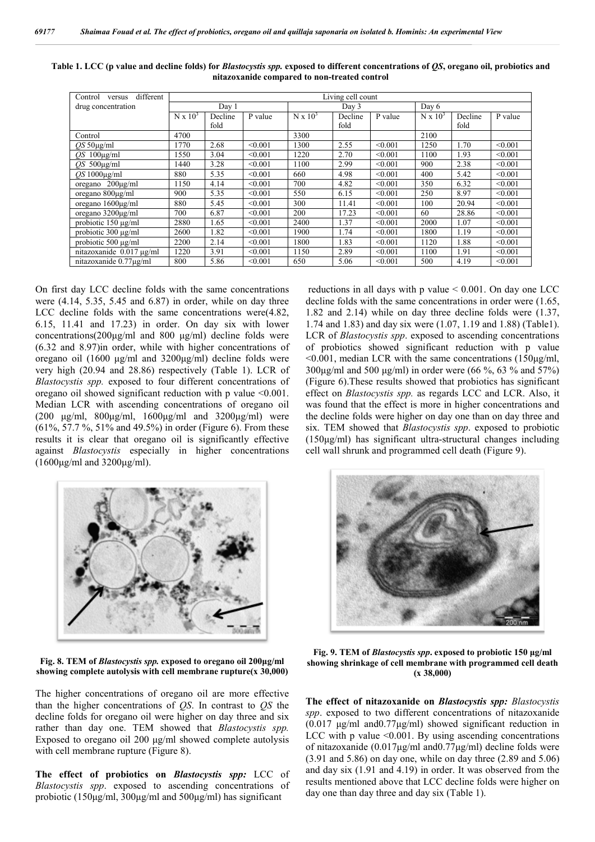| different<br>Control<br>versus | Living cell count |         |         |                 |         |         |                 |         |         |
|--------------------------------|-------------------|---------|---------|-----------------|---------|---------|-----------------|---------|---------|
| drug concentration             | Day 1             |         |         | Day 3           |         |         | Day 6           |         |         |
|                                | $N \times 10^3$   | Decline | P value | $N \times 10^3$ | Decline | P value | $N \times 10^3$ | Decline | P value |
|                                |                   | fold    |         |                 | fold    |         |                 | fold    |         |
| Control                        | 4700              |         |         | 3300            |         |         | 2100            |         |         |
| $OS 50\mu g/ml$                | 1770              | 2.68    | < 0.001 | 1300            | 2.55    | < 0.001 | 1250            | 1.70    | < 0.001 |
| $OS$ 100 $\mu$ g/ml            | 1550              | 3.04    | < 0.001 | 1220            | 2.70    | < 0.001 | 1100            | 1.93    | < 0.001 |
| $OS$ 500 $\mu$ g/ml            | 1440              | 3.28    | < 0.001 | 1100            | 2.99    | < 0.001 | 900             | 2.38    | < 0.001 |
| $OS1000\mu\text{g/ml}$         | 880               | 5.35    | < 0.001 | 660             | 4.98    | < 0.001 | 400             | 5.42    | < 0.001 |
| oregano $200\mu\text{g/ml}$    | 1150              | 4.14    | < 0.001 | 700             | 4.82    | < 0.001 | 350             | 6.32    | < 0.001 |
| oregano $800\mu$ g/ml          | 900               | 5.35    | < 0.001 | 550             | 6.15    | < 0.001 | 250             | 8.97    | < 0.001 |
| oregano $1600\mu\text{g/ml}$   | 880               | 5.45    | < 0.001 | 300             | 11.41   | < 0.001 | 100             | 20.94   | < 0.001 |
| oregano $3200\mu$ g/ml         | 700               | 6.87    | < 0.001 | 200             | 17.23   | < 0.001 | 60              | 28.86   | < 0.001 |
| probiotic 150 µg/ml            | 2880              | 1.65    | < 0.001 | 2400            | 1.37    | < 0.001 | 2000            | 1.07    | < 0.001 |
| probiotic $300 \mu g/ml$       | 2600              | 1.82    | < 0.001 | 1900            | 1.74    | < 0.001 | 1800            | 1.19    | < 0.001 |
| probiotic $500 \mu g/ml$       | 2200              | 2.14    | < 0.001 | 1800            | 1.83    | < 0.001 | 1120            | 1.88    | < 0.001 |
| $nitazoxanide$ 0.017 µg/ml     | 1220              | 3.91    | < 0.001 | 1150            | 2.89    | < 0.001 | 1100            | 1.91    | < 0.001 |
| nitazoxanide 0.77µg/ml         | 800               | 5.86    | < 0.001 | 650             | 5.06    | < 0.001 | 500             | 4.19    | < 0.001 |

| Table 1. LCC (p value and decline folds) for <i>Blastocystis spp</i> . exposed to different concentrations of QS, oregano oil, probiotics and |                                              |  |  |
|-----------------------------------------------------------------------------------------------------------------------------------------------|----------------------------------------------|--|--|
|                                                                                                                                               | nitazoxanide compared to non-treated control |  |  |

On first day LCC decline folds with the same concentrations were (4.14, 5.35, 5.45 and 6.87) in order, while on day three LCC decline folds with the same concentrations were(4.82, 6.15, 11.41 and 17.23) in order. On day six with lower concentrations(200μg/ml and 800 μg/ml) decline folds were (6.32 and 8.97)in order, while with higher concentrations of oregano oil (1600 μg/ml and 3200μg/ml) decline folds were very high (20.94 and 28.86) respectively (Table 1). LCR of *Blastocystis spp.* exposed to four different concentrations of oregano oil showed significant reduction with p value <0.001. Median LCR with ascending concentrations of oregano oil (200 μg/ml, 800μg/ml, 1600μg/ml and 3200μg/ml) were (61%, 57.7 %, 51% and 49.5%) in order (Figure 6). From these results it is clear that oregano oil is significantly effective against *Blastocystis* especially in higher concentrations (1600μg/ml and 3200μg/ml).

reductions in all days with p value < 0.001. On day one LCC decline folds with the same concentrations in order were (1.65, 1.82 and 2.14) while on day three decline folds were (1.37, 1.74 and 1.83) and day six were (1.07, 1.19 and 1.88) (Table1). LCR of *Blastocystis spp*. exposed to ascending concentrations of probiotics showed significant reduction with p value  $\leq 0.001$ , median LCR with the same concentrations (150μg/ml, 300μg/ml and 500 μg/ml) in order were (66 %, 63 % and 57%) (Figure 6).These results showed that probiotics has significant effect on *Blastocystis spp.* as regards LCC and LCR. Also, it was found that the effect is more in higher concentrations and the decline folds were higher on day one than on day three and six. TEM showed that *Blastocystis spp*. exposed to probiotic (150μg/ml) has significant ultra-structural changes including cell wall shrunk and programmed cell death (Figure 9).



**Fig. 8. TEM of** *Blastocystis spp.* **exposed to oregano oil 200μg/ml showing complete autolysis with cell membrane rupture(x 30,000)**

The higher concentrations of oregano oil are more effective than the higher concentrations of *QS*. In contrast to *QS* the decline folds for oregano oil were higher on day three and six rather than day one. TEM showed that *Blastocystis spp.*  Exposed to oregano oil 200 μg/ml showed complete autolysis with cell membrane rupture (Figure 8).

**The effect of probiotics on** *Blastocystis spp:* LCC of *Blastocystis spp*. exposed to ascending concentrations of probiotic (150μg/ml, 300μg/ml and 500μg/ml) has significant



**Fig. 9. TEM of** *Blastocystis spp***. exposed to probiotic 150 μg/ml showing shrinkage of cell membrane with programmed cell death (x 38,000)**

**The effect of nitazoxanide on** *Blastocystis spp: Blastocystis spp*. exposed to two different concentrations of nitazoxanide (0.017 μg/ml and0.77μg/ml) showed significant reduction in LCC with p value  $\leq 0.001$ . By using ascending concentrations of nitazoxanide (0.017μg/ml and0.77μg/ml) decline folds were (3.91 and 5.86) on day one, while on day three (2.89 and 5.06) and day six (1.91 and 4.19) in order. It was observed from the results mentioned above that LCC decline folds were higher on day one than day three and day six (Table 1).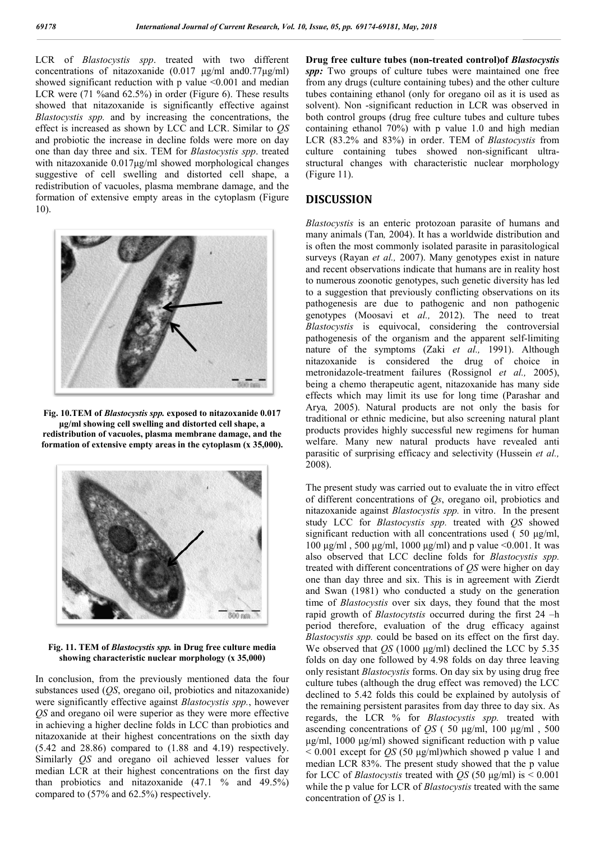LCR of *Blastocystis spp*. treated with two different concentrations of nitazoxanide (0.017 μg/ml and0.77μg/ml) showed significant reduction with p value  $\leq 0.001$  and median LCR were (71 %and 62.5%) in order (Figure 6). These results showed that nitazoxanide is significantly effective against *Blastocystis spp.* and by increasing the concentrations, the effect is increased as shown by LCC and LCR. Similar to *QS* and probiotic the increase in decline folds were more on day one than day three and six. TEM for *Blastocystis spp*. treated with nitazoxanide 0.017μg/ml showed morphological changes suggestive of cell swelling and distorted cell shape, a redistribution of vacuoles, plasma membrane damage, and the formation of extensive empty areas in the cytoplasm (Figure 10).



**Fig. 10.TEM of** *Blastocystis spp.* **exposed to nitazoxanide 0.017 μg/ml showing cell swelling and distorted cell shape, a redistribution of vacuoles, plasma membrane damage, and the formation of extensive empty areas in the cytoplasm (x 35,000).**



**Fig. 11. TEM of** *Blastocystis spp.* **in Drug free culture media showing characteristic nuclear morphology (x 35,000)**

In conclusion, from the previously mentioned data the four substances used (*QS*, oregano oil, probiotics and nitazoxanide) were significantly effective against *Blastocystis spp.*, however *QS* and oregano oil were superior as they were more effective in achieving a higher decline folds in LCC than probiotics and nitazoxanide at their highest concentrations on the sixth day  $(5.42 \text{ and } 28.86)$  compared to  $(1.88 \text{ and } 4.19)$  respectively. Similarly *QS* and oregano oil achieved lesser values for median LCR at their highest concentrations on the first day than probiotics and nitazoxanide  $(47.1 \text{ % and } 49.5\%)$ compared to (57% and 62.5%) respectively.

**Drug free culture tubes (non-treated control)of** *Blastocystis*  spp: Two groups of culture tubes were maintained one free from any drugs (culture containing tubes) and the other culture tubes containing ethanol (only for oregano oil as it is used as solvent). Non -significant reduction in LCR was observed in both control groups (drug free culture tubes and culture tubes containing ethanol 70%) with p value 1.0 and high median LCR (83.2% and 83%) in order. TEM of *Blastocystis* from culture containing tubes showed non-significant ultrastructural changes with characteristic nuclear morphology (Figure 11).

## **DISCUSSION**

*Blastocystis* is an enteric protozoan parasite of humans and many animals (Tan*,* 2004). It has a worldwide distribution and is often the most commonly isolated parasite in parasitological surveys (Rayan *et al.,* 2007). Many genotypes exist in nature and recent observations indicate that humans are in reality host to numerous zoonotic genotypes, such genetic diversity has led to a suggestion that previously conflicting observations on its pathogenesis are due to pathogenic and non pathogenic genotypes (Moosavi et *al.,* 2012). The need to treat *Blastocystis* is equivocal, considering the controversial pathogenesis of the organism and the apparent self-limiting nature of the symptoms (Zaki *et al.,* 1991). Although nitazoxanide is considered the drug of choice in metronidazole-treatment failures (Rossignol *et al.,* 2005), being a chemo therapeutic agent, nitazoxanide has many side effects which may limit its use for long time (Parashar and Arya*,* 2005). Natural products are not only the basis for traditional or ethnic medicine, but also screening natural plant products provides highly successful new regimens for human welfare. Many new natural products have revealed anti parasitic of surprising efficacy and selectivity (Hussein *et al.,*  2008).

The present study was carried out to evaluate the in vitro effect of different concentrations of *Qs*, oregano oil, probiotics and nitazoxanide against *Blastocystis spp.* in vitro. In the present study LCC for *Blastocystis spp.* treated with *QS* showed significant reduction with all concentrations used ( $50 \mu g/ml$ , 100 μg/ml , 500 μg/ml, 1000 μg/ml) and p value <0.001. It was also observed that LCC decline folds for *Blastocystis spp.* treated with different concentrations of *QS* were higher on day one than day three and six. This is in agreement with Zierdt and Swan (1981) who conducted a study on the generation time of *Blastocystis* over six days, they found that the most rapid growth of *Blastocytstis* occurred during the first 24 –h period therefore, evaluation of the drug efficacy against *Blastocystis spp.* could be based on its effect on the first day. We observed that *QS* (1000 μg/ml) declined the LCC by 5.35 folds on day one followed by 4.98 folds on day three leaving only resistant *Blastocystis* forms. On day six by using drug free culture tubes (although the drug effect was removed) the LCC declined to 5.42 folds this could be explained by autolysis of the remaining persistent parasites from day three to day six. As regards, the LCR % for *Blastocystis spp.* treated with ascending concentrations of *QS* ( 50 μg/ml, 100 μg/ml , 500 μg/ml, 1000 μg/ml) showed significant reduction with p value  $< 0.001$  except for *QS* (50  $\mu$ g/ml)which showed p value 1 and median LCR 83%. The present study showed that the p value for LCC of *Blastocystis* treated with *QS* (50 μg/ml) is < 0.001 while the p value for LCR of *Blastocystis* treated with the same concentration of *QS* is 1.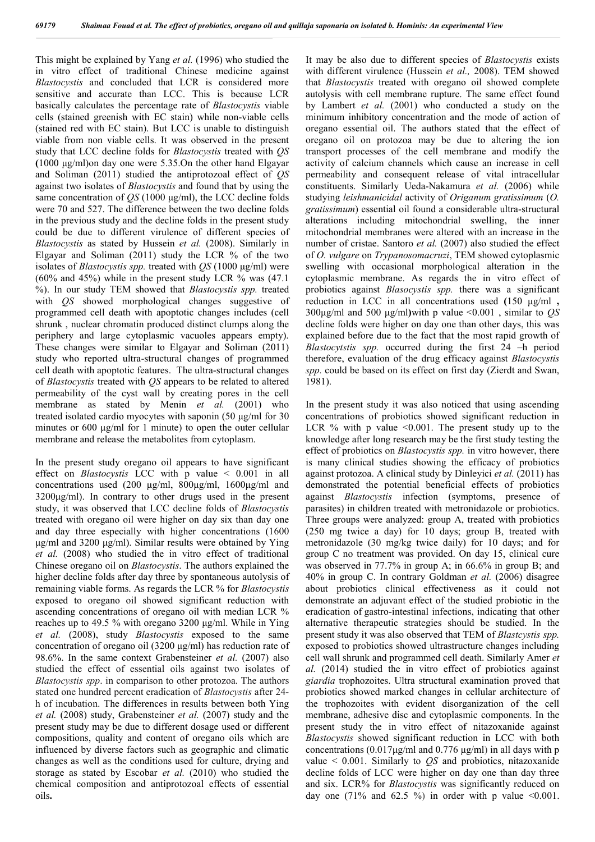This might be explained by Yang *et al.* (1996) who studied the in vitro effect of traditional Chinese medicine against *Blastocystis* and concluded that LCR is considered more sensitive and accurate than LCC. This is because LCR basically calculates the percentage rate of *Blastocystis* viable cells (stained greenish with EC stain) while non-viable cells (stained red with EC stain). But LCC is unable to distinguish viable from non viable cells. It was observed in the present study that LCC decline folds for *Blastocystis* treated with *QS*  **(**1000 μg/ml)on day one were 5.35.On the other hand Elgayar and Soliman (2011) studied the antiprotozoal effect of *QS* against two isolates of *Blastocystis* and found that by using the same concentration of *QS* (1000 μg/ml), the LCC decline folds were 70 and 527. The difference between the two decline folds in the previous study and the decline folds in the present study could be due to different virulence of different species of *Blastocystis* as stated by Hussein *et al.* (2008). Similarly in Elgayar and Soliman (2011) study the LCR % of the two isolates of *Blastocystis spp.* treated with *QS* (1000 μg/ml) were (60% and 45%) while in the present study LCR % was (47.1 %). In our study TEM showed that *Blastocystis spp.* treated with *QS* showed morphological changes suggestive of programmed cell death with apoptotic changes includes (cell shrunk , nuclear chromatin produced distinct clumps along the periphery and large cytoplasmic vacuoles appears empty). These changes were similar to Elgayar and Soliman (2011) study who reported ultra-structural changes of programmed cell death with apoptotic features. The ultra-structural changes of *Blastocystis* treated with *QS* appears to be related to altered permeability of the cyst wall by creating pores in the cell membrane as stated by Menin *et al.* (2001) who treated isolated cardio myocytes with saponin (50 μg/ml for 30 minutes or 600 μg/ml for 1 minute) to open the outer cellular membrane and release the metabolites from cytoplasm.

In the present study oregano oil appears to have significant effect on *Blastocystis* LCC with p value < 0.001 in all concentrations used (200 μg/ml, 800μg/ml, 1600μg/ml and 3200μg/ml). In contrary to other drugs used in the present study, it was observed that LCC decline folds of *Blastocystis* treated with oregano oil were higher on day six than day one and day three especially with higher concentrations (1600 μg/ml and 3200 μg/ml). Similar results were obtained by Ying *et al.* (2008) who studied the in vitro effect of traditional Chinese oregano oil on *Blastocystis*. The authors explained the higher decline folds after day three by spontaneous autolysis of remaining viable forms. As regards the LCR % for *Blastocystis* exposed to oregano oil showed significant reduction with ascending concentrations of oregano oil with median LCR % reaches up to 49.5 % with oregano 3200 μg/ml. While in Ying *et al.* (2008), study *Blastocystis* exposed to the same concentration of oregano oil (3200 μg/ml) has reduction rate of 98.6%. In the same context Grabensteiner *et al.* (2007) also studied the effect of essential oils against two isolates of *Blastocystis spp*. in comparison to other protozoa. The authors stated one hundred percent eradication of *Blastocystis* after 24 h of incubation. The differences in results between both Ying *et al.* (2008) study, Grabensteiner *et al.* (2007) study and the present study may be due to different dosage used or different compositions, quality and content of oregano oils which are influenced by diverse factors such as geographic and climatic changes as well as the conditions used for culture, drying and storage as stated by Escobar *et al.* (2010) who studied the chemical composition and antiprotozoal effects of essential oils**.** 

It may be also due to different species of *Blastocystis* exists with different virulence (Hussein *et al.,* 2008). TEM showed that *Blastocystis* treated with oregano oil showed complete autolysis with cell membrane rupture. The same effect found by Lambert *et al.* (2001) who conducted a study on the minimum inhibitory concentration and the mode of action of oregano essential oil. The authors stated that the effect of oregano oil on protozoa may be due to altering the ion transport processes of the cell membrane and modify the activity of calcium channels which cause an increase in cell permeability and consequent release of vital intracellular constituents. Similarly Ueda-Nakamura *et al.* (2006) while studying *leishmanicidal* activity of *Origanum gratissimum* (*O. gratissimum*) essential oil found a considerable ultra-structural alterations including mitochondrial swelling, the inner mitochondrial membranes were altered with an increase in the number of cristae. Santoro *et al.* (2007) also studied the effect of *O. vulgare* on *Trypanosomacruzi*, TEM showed cytoplasmic swelling with occasional morphological alteration in the cytoplasmic membrane. As regards the in vitro effect of probiotics against *Blasocystis spp.* there was a significant reduction in LCC in all concentrations used **(**150 μg/ml **,**  300μg/ml and 500 μg/ml**)**with p value <0.001 , similar to *QS* decline folds were higher on day one than other days, this was explained before due to the fact that the most rapid growth of *Blastocytstis spp.* occurred during the first 24 –h period therefore, evaluation of the drug efficacy against *Blastocystis spp.* could be based on its effect on first day (Zierdt and Swan, 1981).

In the present study it was also noticed that using ascending concentrations of probiotics showed significant reduction in LCR  $%$  with p value <0.001. The present study up to the knowledge after long research may be the first study testing the effect of probiotics on *Blastocystis spp.* in vitro however, there is many clinical studies showing the efficacy of probiotics against protozoa. A clinical study by Dinleyici *et al.* (2011) has demonstrated the potential beneficial effects of probiotics against *Blastocystis* infection (symptoms, presence of parasites) in children treated with metronidazole or probiotics. Three groups were analyzed: group A, treated with probiotics (250 mg twice a day) for 10 days; group B, treated with metronidazole (30 mg/kg twice daily) for 10 days; and for group C no treatment was provided. On day 15, clinical cure was observed in 77.7% in group A; in 66.6% in group B; and 40% in group C. In contrary Goldman *et al.* (2006) disagree about probiotics clinical effectiveness as it could not demonstrate an adjuvant effect of the studied probiotic in the eradication of gastro-intestinal infections, indicating that other alternative therapeutic strategies should be studied. In the present study it was also observed that TEM of *Blastcystis spp.* exposed to probiotics showed ultrastructure changes including cell wall shrunk and programmed cell death. Similarly Amer *et al.* (2014) studied the in vitro effect of probiotics against *giardia* trophozoites. Ultra structural examination proved that probiotics showed marked changes in cellular architecture of the trophozoites with evident disorganization of the cell membrane, adhesive disc and cytoplasmic components. In the present study the in vitro effect of nitazoxanide against *Blastocystis* showed significant reduction in LCC with both concentrations  $(0.017\mu\text{g/ml}$  and  $(0.776 \mu\text{g/ml})$  in all days with p value < 0.001. Similarly to *QS* and probiotics, nitazoxanide decline folds of LCC were higher on day one than day three and six. LCR% for *Blastocystis* was significantly reduced on day one  $(71\%$  and  $62.5\%$  in order with p value <0.001.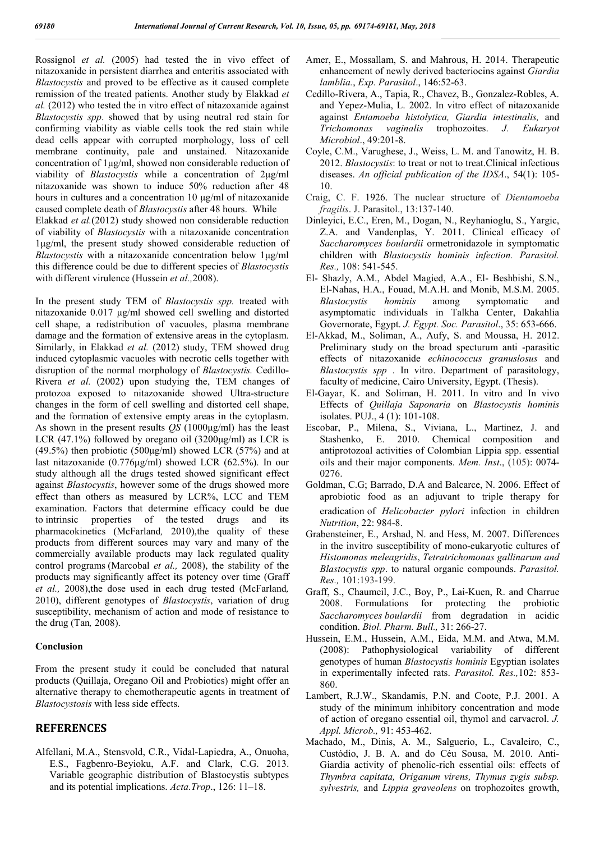Rossignol *et al.* (2005) had tested the in vivo effect of nitazoxanide in persistent diarrhea and enteritis associated with *Blastocystis* and proved to be effective as it caused complete remission of the treated patients. Another study by Elakkad *et al.* (2012) who tested the in vitro effect of nitazoxanide against *Blastocystis spp*. showed that by using neutral red stain for confirming viability as viable cells took the red stain while dead cells appear with corrupted morphology, loss of cell membrane continuity, pale and unstained. Nitazoxanide concentration of 1μg/ml, showed non considerable reduction of viability of *Blastocystis* while a concentration of 2μg/ml nitazoxanide was shown to induce 50% reduction after 48 hours in cultures and a concentration 10 μg/ml of nitazoxanide caused complete death of *Blastocystis* after 48 hours. While Elakkad *et al.*(2012) study showed non considerable reduction of viability of *Blastocystis* with a nitazoxanide concentration 1μg/ml, the present study showed considerable reduction of *Blastocystis* with a nitazoxanide concentration below 1μg/ml this difference could be due to different species of *Blastocystis* with different virulence (Hussein *et al.,*2008).

In the present study TEM of *Blastocystis spp.* treated with nitazoxanide 0.017 μg/ml showed cell swelling and distorted cell shape, a redistribution of vacuoles, plasma membrane damage and the formation of extensive areas in the cytoplasm. Similarly, in Elakkad *et al.* (2012) study, TEM showed drug induced cytoplasmic vacuoles with necrotic cells together with disruption of the normal morphology of *Blastocystis.* Cedillo-Rivera *et al.* (2002) upon studying the, TEM changes of protozoa exposed to nitazoxanide showed Ultra-structure changes in the form of cell swelling and distorted cell shape, and the formation of extensive empty areas in the cytoplasm. As shown in the present results *QS* (1000μg/ml) has the least LCR (47.1%) followed by oregano oil (3200 $\mu$ g/ml) as LCR is (49.5%) then probiotic (500 $\mu$ g/ml) showed LCR (57%) and at last nitazoxanide (0.776μg/ml) showed LCR (62.5%). In our study although all the drugs tested showed significant effect against *Blastocystis*, however some of the drugs showed more effect than others as measured by LCR%, LCC and TEM examination. Factors that determine efficacy could be due to intrinsic properties of the tested drugs and its pharmacokinetics (McFarland*,* 2010),the quality of these products from different sources may vary and many of the commercially available products may lack regulated quality control programs (Marcobal *et al.,* 2008), the stability of the products may significantly affect its potency over time (Graff *et al.,* 2008),the dose used in each drug tested (McFarland*,*  2010), different genotypes of *Blastocystis*, variation of drug susceptibility, mechanism of action and mode of resistance to the drug (Tan*,* 2008).

### **Conclusion**

From the present study it could be concluded that natural products (Quillaja, Oregano Oil and Probiotics) might offer an alternative therapy to chemotherapeutic agents in treatment of *Blastocystosis* with less side effects.

## **REFERENCES**

Alfellani, M.A., Stensvold, C.R., Vidal-Lapiedra, A., Onuoha, E.S., Fagbenro-Beyioku, A.F. and Clark, C.G. 2013. Variable geographic distribution of Blastocystis subtypes and its potential implications. *Acta.Trop*., 126: 11–18.

- Amer, E., Mossallam, S. and Mahrous, H. 2014. Therapeutic enhancement of newly derived bacteriocins against *Giardia lamblia.*, *Exp. Parasitol*., 146:52-63.
- Cedillo-Rivera, A., Tapia, R., Chavez, B., Gonzalez-Robles, A. and Yepez-Mulia, L. 2002. In vitro effect of nitazoxanide against *Entamoeba histolytica, Giardia intestinalis,* and *Trichomonas vaginalis* trophozoites. *J. Eukaryot Microbiol*., 49:201-8.
- Coyle, C.M., Varughese, J., Weiss, L. M. and Tanowitz, H. B. 2012. *Blastocystis*: to treat or not to treat.Clinical infectious diseases. *An official publication of the IDSA*., 54(1): 105- 10.
- Craig, C. F. 1926. The nuclear structure of *Dientamoeba fragilis*. J. Parasitol., 13:137-140.
- Dinleyici, E.C., Eren, M., Dogan, N., Reyhanioglu, S., Yargic, Z.A. and Vandenplas, Y. 2011. Clinical efficacy of *Saccharomyces boulardii* ormetronidazole in symptomatic children with *Blastocystis hominis infection. Parasitol. Res.,* 108: 541-545.
- El- Shazly, A.M., Abdel Magied, A.A., El- Beshbishi, S.N., El-Nahas, H.A., Fouad, M.A.H. and Monib, M.S.M. 2005. *Blastocystis hominis* among symptomatic and asymptomatic individuals in Talkha Center, Dakahlia Governorate, Egypt. *J. Egypt. Soc. Parasitol*., 35: 653-666.
- El-Akkad, M., Soliman, A., Aufy, S. and Moussa, H. 2012. Preliminary study on the broad specturum anti -parasitic effects of nitazoxanide *echinococcus granuslosus* and *Blastocystis spp* . In vitro. Department of parasitology, faculty of medicine, Cairo University, Egypt. (Thesis).
- El-Gayar, K. and Soliman, H. 2011. In vitro and In vivo Effects of *Quillaja Saponaria* on *Blastocystis hominis*  isolates. PUJ., 4 (1): 101-108.
- Escobar, P., Milena, S., Viviana, L., Martinez, J. and Stashenko, E. 2010. Chemical composition and antiprotozoal activities of Colombian Lippia spp. essential oils and their major components. *Mem. Inst*., (105): 0074- 0276.
- Goldman, C.G; Barrado, D.A and Balcarce, N. 2006. Effect of aprobiotic food as an adjuvant to triple therapy for eradication of *Helicobacter pylori* infection in children *Nutrition*, 22: 984-8.
- Grabensteiner, E., Arshad, N. and Hess, M. 2007. Differences in the invitro susceptibility of mono-eukaryotic cultures of *Histomonas meleagridis*, *Tetratrichomonas gallinarum and Blastocystis spp*. to natural organic compounds. *Parasitol. Res.,* 101:193-199.
- Graff, S., Chaumeil, J.C., Boy, P., Lai-Kuen, R. and Charrue 2008. Formulations for protecting the probiotic *Saccharomyces boulardii* from degradation in acidic condition. *Biol. Pharm. Bull.,* 31: 266-27.
- Hussein, E.M., Hussein, A.M., Eida, M.M. and Atwa, M.M. (2008): Pathophysiological variability of different genotypes of human *Blastocystis hominis* Egyptian isolates in experimentally infected rats. *Parasitol. Res.,*102: 853- 860.
- Lambert, R.J.W., Skandamis, P.N. and Coote, P.J. 2001. A study of the minimum inhibitory concentration and mode of action of oregano essential oil, thymol and carvacrol. *J. Appl. Microb.,* 91: 453-462.
- Machado, M., Dinis, A. M., Salguerio, L., Cavaleiro, C., Custódio, J. B. A. and do Céu Sousa, M. 2010. Anti-Giardia activity of phenolic-rich essential oils: effects of *Thymbra capitata, Origanum virens, Thymus zygis subsp. sylvestris,* and *Lippia graveolens* on trophozoites growth,